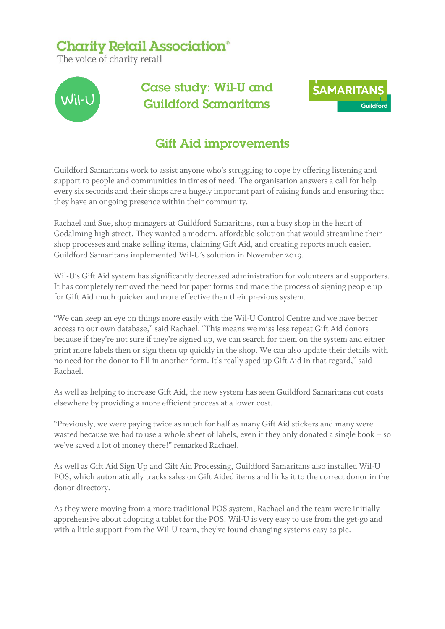## **Charity Retail Association®**

The voice of charity retail



## Case study: Wil-U and **Guildford Samaritans**



## **Gift Aid improvements**

Guildford Samaritans work to assist anyone who's struggling to cope by offering listening and support to people and communities in times of need. The organisation answers a call for help every six seconds and their shops are a hugely important part of raising funds and ensuring that they have an ongoing presence within their community.

Rachael and Sue, shop managers at Guildford Samaritans, run a busy shop in the heart of Godalming high street. They wanted a modern, affordable solution that would streamline their shop processes and make selling items, claiming Gift Aid, and creating reports much easier. Guildford Samaritans implemented Wil-U's solution in November 2019.

Wil-U's Gift Aid system has significantly decreased administration for volunteers and supporters. It has completely removed the need for paper forms and made the process of signing people up for Gift Aid much quicker and more effective than their previous system.

"We can keep an eye on things more easily with the Wil-U Control Centre and we have better access to our own database," said Rachael. "This means we miss less repeat Gift Aid donors because if they're not sure if they're signed up, we can search for them on the system and either print more labels then or sign them up quickly in the shop. We can also update their details with no need for the donor to fill in another form. It's really sped up Gift Aid in that regard," said Rachael.

As well as helping to increase Gift Aid, the new system has seen Guildford Samaritans cut costs elsewhere by providing a more efficient process at a lower cost.

"Previously, we were paying twice as much for half as many Gift Aid stickers and many were wasted because we had to use a whole sheet of labels, even if they only donated a single book – so we've saved a lot of money there!" remarked Rachael.

As well as Gift Aid Sign Up and Gift Aid Processing, Guildford Samaritans also installed Wil-U POS, which automatically tracks sales on Gift Aided items and links it to the correct donor in the donor directory.

As they were moving from a more traditional POS system, Rachael and the team were initially apprehensive about adopting a tablet for the POS. Wil-U is very easy to use from the get-go and with a little support from the Wil-U team, they've found changing systems easy as pie.